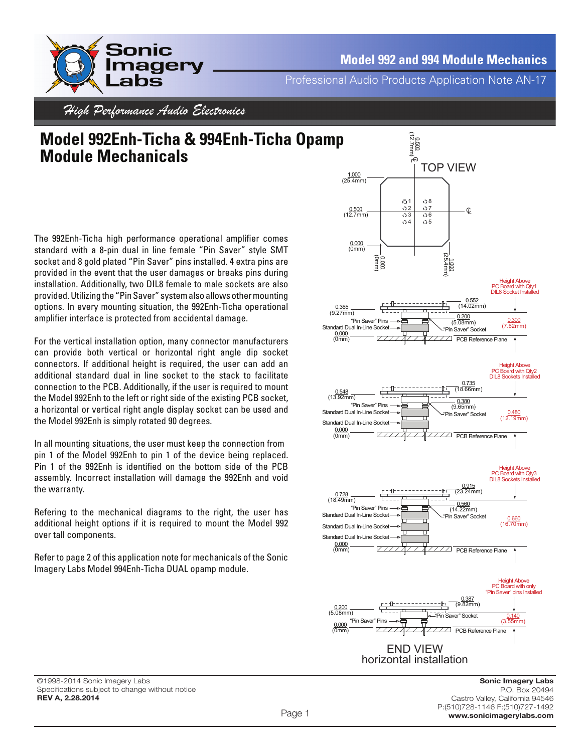

Professional Audio Products Application Note AN-17

High Performance Audio Electronics

## **Model 992Enh-Ticha & 994Enh-Ticha Opamp Module Mechanicals**

The 992Enh-Ticha high performance operational amplifier comes standard with a 8-pin dual in line female "Pin Saver" style SMT socket and 8 gold plated "Pin Saver" pins installed. 4 extra pins are provided in the event that the user damages or breaks pins during installation. Additionally, two DIL8 female to male sockets are also provided. Utilizing the "Pin Saver" system also allows other mounting options. In every mounting situation, the 992Enh-Ticha operational amplifier interface is protected from accidental damage.

For the vertical installation option, many connector manufacturers can provide both vertical or horizontal right angle dip socket connectors. If additional height is required, the user can add an additional standard dual in line socket to the stack to facilitate connection to the PCB. Additionally, if the user is required to mount the Model 992Enh to the left or right side of the existing PCB socket, a horizontal or vertical right angle display socket can be used and the Model 992Enh is simply rotated 90 degrees.

In all mounting situations, the user must keep the connection from pin 1 of the Model 992Enh to pin 1 of the device being replaced. Pin 1 of the 992Enh is identified on the bottom side of the PCB assembly. Incorrect installation will damage the 992Enh and void the warranty.

Refering to the mechanical diagrams to the right, the user has additional height options if it is required to mount the Model 992 over tall components.

Refer to page 2 of this application note for mechanicals of the Sonic Imagery Labs Model 994Enh-Ticha DUAL opamp module.

©1998-2014 Sonic Imagery Labs Specifications subject to change without notice **REV A, 2.28.2014**

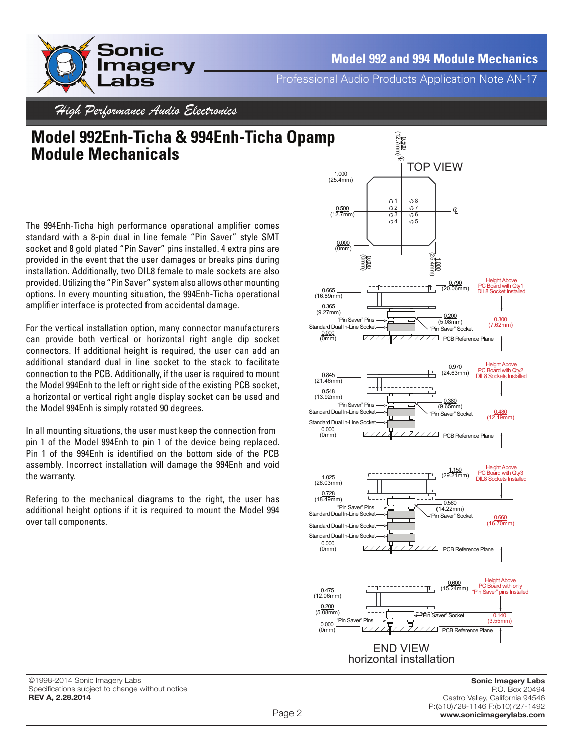

**Model 992 and 994 Module Mechanics**

Professional Audio Products Application Note AN-17

High Performance Audio Electronics

## **Model 992Enh-Ticha & 994Enh-Ticha Opamp Module Mechanicals**

The 994Enh-Ticha high performance operational amplifier comes standard with a 8-pin dual in line female "Pin Saver" style SMT socket and 8 gold plated "Pin Saver" pins installed. 4 extra pins are provided in the event that the user damages or breaks pins during installation. Additionally, two DIL8 female to male sockets are also provided. Utilizing the "Pin Saver" system also allows other mounting options. In every mounting situation, the 994Enh-Ticha operational amplifier interface is protected from accidental damage.

For the vertical installation option, many connector manufacturers can provide both vertical or horizontal right angle dip socket connectors. If additional height is required, the user can add an additional standard dual in line socket to the stack to facilitate connection to the PCB. Additionally, if the user is required to mount the Model 994Enh to the left or right side of the existing PCB socket, a horizontal or vertical right angle display socket can be used and the Model 994Enh is simply rotated 90 degrees.

In all mounting situations, the user must keep the connection from pin 1 of the Model 994Enh to pin 1 of the device being replaced. Pin 1 of the 994Enh is identified on the bottom side of the PCB assembly. Incorrect installation will damage the 994Enh and void the warranty.

Refering to the mechanical diagrams to the right, the user has additional height options if it is required to mount the Model 994 over tall components.



©1998-2014 Sonic Imagery Labs Specifications subject to change without notice **REV A, 2.28.2014**

**Sonic Imagery Labs** P.O. Box 20494 Castro Valley, California 94546 P:(510)728-1146 F:(510)727-1492 **www.sonicimagerylabs.com**